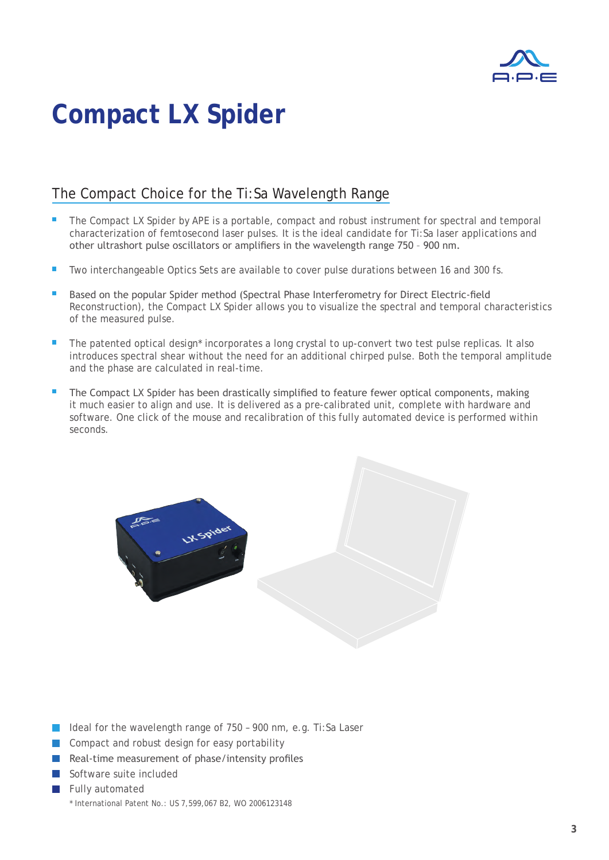

# **Compact LX Spider**

### The Compact Choice for the Ti:Sa Wavelength Range

- The Compact LX Spider by APE is a portable, compact and robust instrument for spectral and temporal characterization of femtosecond laser pulses. It is the ideal candidate for Ti:Sa laser applications and other ultrashort pulse oscillators or amplifiers in the wavelength range 750 – 900 nm.
- Two interchangeable Optics Sets are available to cover pulse durations between 16 and 300 fs.
- Based on the popular Spider method (Spectral Phase Interferometry for Direct Electric-field Reconstruction), the Compact LX Spider allows you to visualize the spectral and temporal characteristics of the measured pulse.
- The patented optical design\* incorporates a long crystal to up-convert two test pulse replicas. It also introduces spectral shear without the need for an additional chirped pulse. Both the temporal amplitude and the phase are calculated in real-time.
- The Compact LX Spider has been drastically simplified to feature fewer optical components, making it much easier to align and use. It is delivered as a pre-calibrated unit, complete with hardware and software. One click of the mouse and recalibration of this fully automated device is performed within seconds.



- Ideal for the wavelength range of 750 900 nm, e.g. Ti:Sa Laser
- Compact and robust design for easy portability
- Real-time measurement of phase/intensity profiles
- Software suite included
- Fully automated \* International Patent No.: US 7,599,067 B2, WO 2006123148